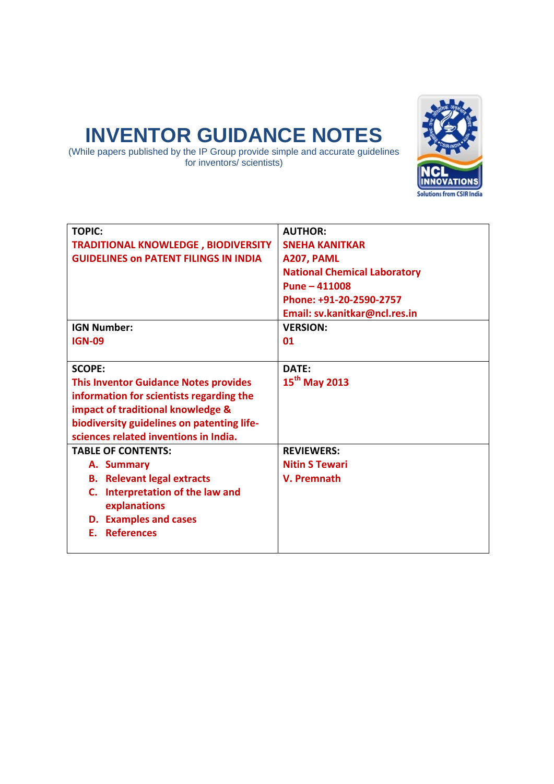# **INVENTOR GUIDANCE NOTES**

(While papers published by the IP Group provide simple and accurate guidelines for inventors/ scientists)



| <b>TOPIC:</b>                                | <b>AUTHOR:</b>                      |
|----------------------------------------------|-------------------------------------|
| <b>TRADITIONAL KNOWLEDGE, BIODIVERSITY</b>   | <b>SNEHA KANITKAR</b>               |
| <b>GUIDELINES ON PATENT FILINGS IN INDIA</b> | A207, PAML                          |
|                                              | <b>National Chemical Laboratory</b> |
|                                              | $Pune - 411008$                     |
|                                              | Phone: +91-20-2590-2757             |
|                                              | Email: sv.kanitkar@ncl.res.in       |
| <b>IGN Number:</b>                           | <b>VERSION:</b>                     |
| <b>IGN-09</b>                                | 01                                  |
|                                              |                                     |
| <b>SCOPE:</b>                                | DATF:                               |
| <b>This Inventor Guidance Notes provides</b> | 15 <sup>th</sup> May 2013           |
| information for scientists regarding the     |                                     |
| impact of traditional knowledge &            |                                     |
| biodiversity guidelines on patenting life-   |                                     |
| sciences related inventions in India.        |                                     |
| <b>TABLE OF CONTENTS:</b>                    | <b>REVIEWERS:</b>                   |
| A. Summary                                   | <b>Nitin S Tewari</b>               |
| <b>B.</b> Relevant legal extracts            | V. Premnath                         |
| C. Interpretation of the law and             |                                     |
| explanations                                 |                                     |
| <b>D.</b> Examples and cases                 |                                     |
| <b>References</b><br>F.                      |                                     |
|                                              |                                     |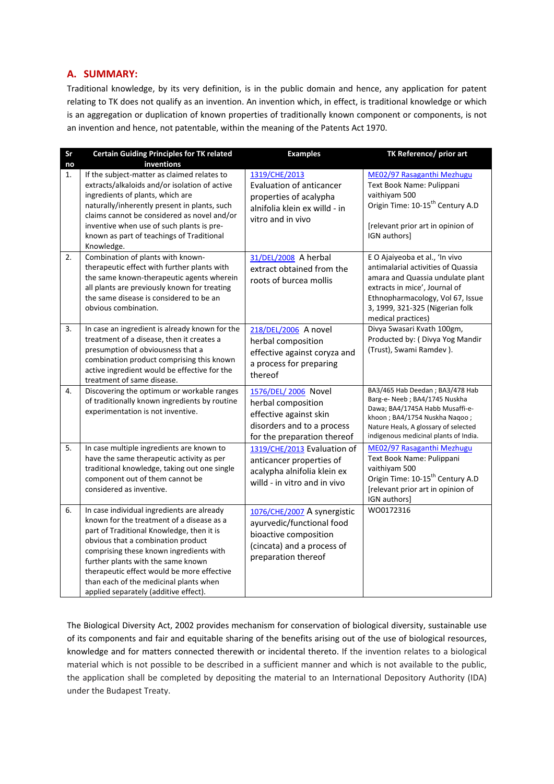# **A. SUMMARY:**

Traditional knowledge, by its very definition, is in the public domain and hence, any application for patent relating to TK does not qualify as an invention. An invention which, in effect, is traditional knowledge or which is an aggregation or duplication of known properties of traditionally known component or components, is not an invention and hence, not patentable, within the meaning of the Patents Act 1970.

| Sr | <b>Certain Guiding Principles for TK related</b>                                                                                                                                                                                                                                                                                                                                             | <b>Examples</b>                                                                                                                        | <b>TK Reference/ prior art</b>                                                                                                                                                                                                         |
|----|----------------------------------------------------------------------------------------------------------------------------------------------------------------------------------------------------------------------------------------------------------------------------------------------------------------------------------------------------------------------------------------------|----------------------------------------------------------------------------------------------------------------------------------------|----------------------------------------------------------------------------------------------------------------------------------------------------------------------------------------------------------------------------------------|
| no | inventions                                                                                                                                                                                                                                                                                                                                                                                   |                                                                                                                                        |                                                                                                                                                                                                                                        |
| 1. | If the subject-matter as claimed relates to<br>extracts/alkaloids and/or isolation of active<br>ingredients of plants, which are<br>naturally/inherently present in plants, such<br>claims cannot be considered as novel and/or<br>inventive when use of such plants is pre-<br>known as part of teachings of Traditional<br>Knowledge.                                                      | 1319/CHE/2013<br>Evaluation of anticancer<br>properties of acalypha<br>alnifolia klein ex willd - in<br>vitro and in vivo              | ME02/97 Rasaganthi Mezhugu<br>Text Book Name: Pulippani<br>vaithiyam 500<br>Origin Time: 10-15 <sup>th</sup> Century A.D<br>[relevant prior art in opinion of<br>IGN authors]                                                          |
| 2. | Combination of plants with known-<br>therapeutic effect with further plants with<br>the same known-therapeutic agents wherein<br>all plants are previously known for treating<br>the same disease is considered to be an<br>obvious combination.                                                                                                                                             | 31/DEL/2008 A herbal<br>extract obtained from the<br>roots of burcea mollis                                                            | E O Ajaiyeoba et al., 'In vivo<br>antimalarial activities of Quassia<br>amara and Quassia undulate plant<br>extracts in mice', Journal of<br>Ethnopharmacology, Vol 67, Issue<br>3, 1999, 321-325 (Nigerian folk<br>medical practices) |
| 3. | In case an ingredient is already known for the<br>treatment of a disease, then it creates a<br>presumption of obviousness that a<br>combination product comprising this known<br>active ingredient would be effective for the<br>treatment of same disease.                                                                                                                                  | 218/DEL/2006 A novel<br>herbal composition<br>effective against coryza and<br>a process for preparing<br>thereof                       | Divya Swasari Kvath 100gm,<br>Producted by: (Divya Yog Mandir<br>(Trust), Swami Ramdev).                                                                                                                                               |
| 4. | Discovering the optimum or workable ranges<br>of traditionally known ingredients by routine<br>experimentation is not inventive.                                                                                                                                                                                                                                                             | 1576/DEL/2006 Novel<br>herbal composition<br>effective against skin<br>disorders and to a process<br>for the preparation thereof       | BA3/465 Hab Deedan; BA3/478 Hab<br>Barg-e- Neeb; BA4/1745 Nuskha<br>Dawa; BA4/1745A Habb Musaffi-e-<br>khoon; BA4/1754 Nuskha Naqoo;<br>Nature Heals, A glossary of selected<br>indigenous medicinal plants of India.                  |
| 5. | In case multiple ingredients are known to<br>have the same therapeutic activity as per<br>traditional knowledge, taking out one single<br>component out of them cannot be<br>considered as inventive.                                                                                                                                                                                        | 1319/CHE/2013 Evaluation of<br>anticancer properties of<br>acalypha alnifolia klein ex<br>willd - in vitro and in vivo                 | ME02/97 Rasaganthi Mezhugu<br>Text Book Name: Pulippani<br>vaithiyam 500<br>Origin Time: 10-15 <sup>th</sup> Century A.D<br>[relevant prior art in opinion of<br>IGN authors]                                                          |
| 6. | In case individual ingredients are already<br>known for the treatment of a disease as a<br>part of Traditional Knowledge, then it is<br>obvious that a combination product<br>comprising these known ingredients with<br>further plants with the same known<br>therapeutic effect would be more effective<br>than each of the medicinal plants when<br>applied separately (additive effect). | 1076/CHE/2007 A synergistic<br>ayurvedic/functional food<br>bioactive composition<br>(cincata) and a process of<br>preparation thereof | WO0172316                                                                                                                                                                                                                              |

The Biological Diversity Act, 2002 provides mechanism for conservation of biological diversity, sustainable use of its components and fair and equitable sharing of the benefits arising out of the use of biological resources, knowledge and for matters connected therewith or incidental thereto. If the invention relates to a biological material which is not possible to be described in a sufficient manner and which is not available to the public, the application shall be completed by depositing the material to an International Depository Authority (IDA) under the Budapest Treaty.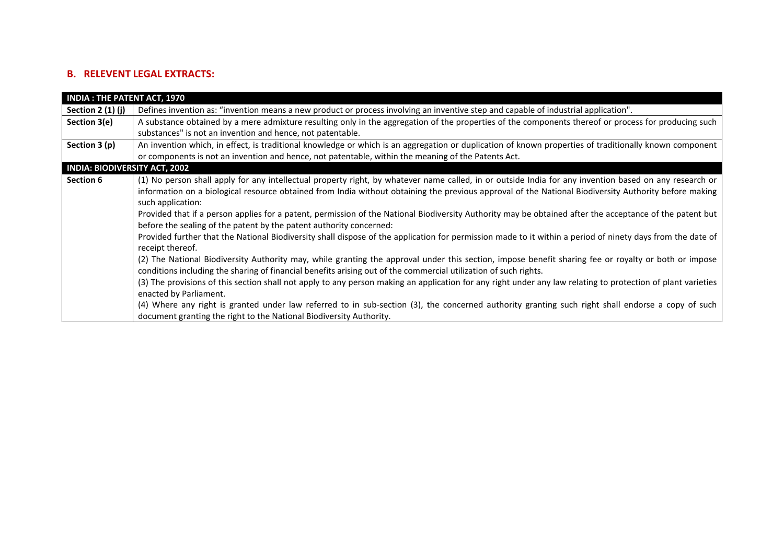# **B. RELEVENT LEGAL EXTRACTS:**

| <b>INDIA: THE PATENT ACT, 1970</b>   |                                                                                                                                                              |
|--------------------------------------|--------------------------------------------------------------------------------------------------------------------------------------------------------------|
| Section $2(1)(j)$                    | Defines invention as: "invention means a new product or process involving an inventive step and capable of industrial application".                          |
| Section 3(e)                         | A substance obtained by a mere admixture resulting only in the aggregation of the properties of the components thereof or process for producing such         |
|                                      | substances" is not an invention and hence, not patentable.                                                                                                   |
| Section 3 (p)                        | An invention which, in effect, is traditional knowledge or which is an aggregation or duplication of known properties of traditionally known component       |
|                                      | or components is not an invention and hence, not patentable, within the meaning of the Patents Act.                                                          |
| <b>INDIA: BIODIVERSITY ACT, 2002</b> |                                                                                                                                                              |
| Section 6                            | (1) No person shall apply for any intellectual property right, by whatever name called, in or outside India for any invention based on any research or       |
|                                      | information on a biological resource obtained from India without obtaining the previous approval of the National Biodiversity Authority before making        |
|                                      | such application:                                                                                                                                            |
|                                      | Provided that if a person applies for a patent, permission of the National Biodiversity Authority may be obtained after the acceptance of the patent but     |
|                                      | before the sealing of the patent by the patent authority concerned:                                                                                          |
|                                      | Provided further that the National Biodiversity shall dispose of the application for permission made to it within a period of ninety days from the date of   |
|                                      | receipt thereof.                                                                                                                                             |
|                                      | (2) The National Biodiversity Authority may, while granting the approval under this section, impose benefit sharing fee or royalty or both or impose         |
|                                      | conditions including the sharing of financial benefits arising out of the commercial utilization of such rights.                                             |
|                                      | (3) The provisions of this section shall not apply to any person making an application for any right under any law relating to protection of plant varieties |
|                                      | enacted by Parliament.                                                                                                                                       |
|                                      | (4) Where any right is granted under law referred to in sub-section (3), the concerned authority granting such right shall endorse a copy of such            |
|                                      | document granting the right to the National Biodiversity Authority.                                                                                          |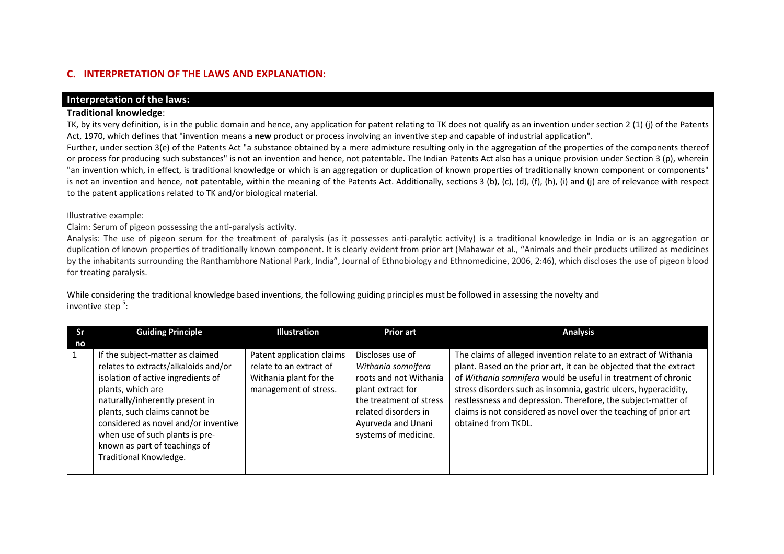# **C. INTERPRETATION OF THE LAWS AND EXPLANATION:**

## **Interpretation of the laws:**

## **Traditional knowledge**:

TK, by its very definition, is in the public domain and hence, any application for patent relating to TK does not qualify as an invention under section 2 (1) (j) of the Patents Act, 1970, which defines that "invention means <sup>a</sup> **new** product or process involving an inventive step and capable of industrial application".

Further, under section 3(e) of the Patents Act "a substance obtained by a mere admixture resulting only in the aggregation of the properties of the components thereof or process for producing such substances" is not an invention and hence, not patentable. The Indian Patents Act also has <sup>a</sup> unique provision under Section 3 (p), wherein "an invention which, in effect, is traditional knowledge or which is an aggregation or duplication of known properties of traditionally known component or components" is not an invention and hence, not patentable, within the meaning of the Patents Act. Additionally, sections 3 (b), (c), (d), (f), (h), (i) and (j) are of relevance with respect to the patent applications related to TK and/or biological material.

Illustrative example:

Claim: Serum of pigeon possessing the anti‐paralysis activity.

Analysis: The use of pigeon serum for the treatment of paralysis (as it possesses anti-paralytic activity) is a traditional knowledge in India or is an aggregation or duplication of known properties of traditionally known component. It is clearly evident from prior art (Mahawar et al., "Animals and their products utilized as medicines by the inhabitants surrounding the Ranthambhore National Park, India", Journal of Ethnobiology and Ethnomedicine, 2006, 2:46), which discloses the use of pigeon blood for treating paralysis.

While considering the traditional knowledge based inventions, the following guiding principles must be followed in assessing the novelty and inventive step <sup>5</sup>:

| Sr | <b>Guiding Principle</b>                                                                                                                                                                                                                                                                                                                      | <b>Illustration</b>                                                                                     | <b>Prior art</b>                                                                                                                                                                       | <b>Analysis</b>                                                                                                                                                                                                                                                                                                                                                                                                                         |
|----|-----------------------------------------------------------------------------------------------------------------------------------------------------------------------------------------------------------------------------------------------------------------------------------------------------------------------------------------------|---------------------------------------------------------------------------------------------------------|----------------------------------------------------------------------------------------------------------------------------------------------------------------------------------------|-----------------------------------------------------------------------------------------------------------------------------------------------------------------------------------------------------------------------------------------------------------------------------------------------------------------------------------------------------------------------------------------------------------------------------------------|
| no |                                                                                                                                                                                                                                                                                                                                               |                                                                                                         |                                                                                                                                                                                        |                                                                                                                                                                                                                                                                                                                                                                                                                                         |
|    | If the subject-matter as claimed<br>relates to extracts/alkaloids and/or<br>isolation of active ingredients of<br>plants, which are<br>naturally/inherently present in<br>plants, such claims cannot be<br>considered as novel and/or inventive<br>when use of such plants is pre-<br>known as part of teachings of<br>Traditional Knowledge. | Patent application claims<br>relate to an extract of<br>Withania plant for the<br>management of stress. | Discloses use of<br>Withania somnifera<br>roots and not Withania<br>plant extract for<br>the treatment of stress<br>related disorders in<br>Ayurveda and Unani<br>systems of medicine. | The claims of alleged invention relate to an extract of Withania<br>plant. Based on the prior art, it can be objected that the extract<br>of Withania somnifera would be useful in treatment of chronic<br>stress disorders such as insomnia, gastric ulcers, hyperacidity,<br>restlessness and depression. Therefore, the subject-matter of<br>claims is not considered as novel over the teaching of prior art<br>obtained from TKDL. |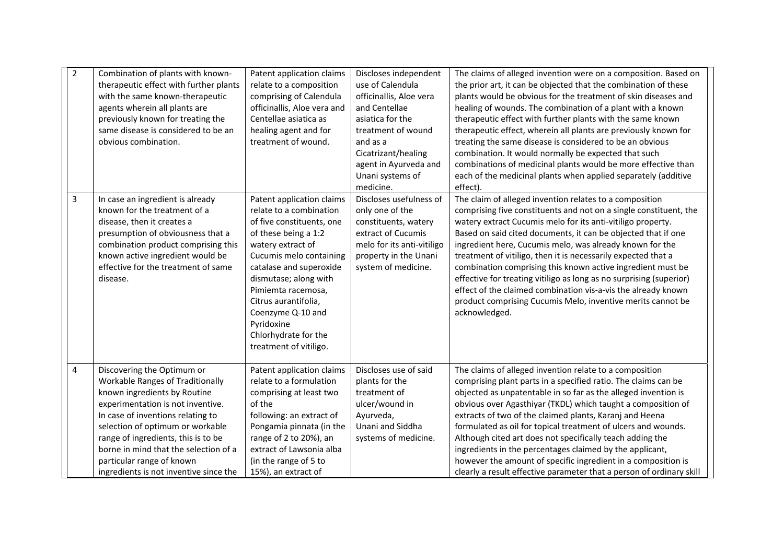| $\overline{2}$ | Combination of plants with known-<br>therapeutic effect with further plants<br>with the same known-therapeutic<br>agents wherein all plants are<br>previously known for treating the<br>same disease is considered to be an<br>obvious combination.                                                                                                                        | Patent application claims<br>relate to a composition<br>comprising of Calendula<br>officinallis, Aloe vera and<br>Centellae asiatica as<br>healing agent and for<br>treatment of wound.                                                                                                                                                          | Discloses independent<br>use of Calendula<br>officinallis, Aloe vera<br>and Centellae<br>asiatica for the<br>treatment of wound<br>and as a<br>Cicatrizant/healing<br>agent in Ayurveda and<br>Unani systems of<br>medicine. | The claims of alleged invention were on a composition. Based on<br>the prior art, it can be objected that the combination of these<br>plants would be obvious for the treatment of skin diseases and<br>healing of wounds. The combination of a plant with a known<br>therapeutic effect with further plants with the same known<br>therapeutic effect, wherein all plants are previously known for<br>treating the same disease is considered to be an obvious<br>combination. It would normally be expected that such<br>combinations of medicinal plants would be more effective than<br>each of the medicinal plants when applied separately (additive<br>effect).           |
|----------------|----------------------------------------------------------------------------------------------------------------------------------------------------------------------------------------------------------------------------------------------------------------------------------------------------------------------------------------------------------------------------|--------------------------------------------------------------------------------------------------------------------------------------------------------------------------------------------------------------------------------------------------------------------------------------------------------------------------------------------------|------------------------------------------------------------------------------------------------------------------------------------------------------------------------------------------------------------------------------|----------------------------------------------------------------------------------------------------------------------------------------------------------------------------------------------------------------------------------------------------------------------------------------------------------------------------------------------------------------------------------------------------------------------------------------------------------------------------------------------------------------------------------------------------------------------------------------------------------------------------------------------------------------------------------|
| 3              | In case an ingredient is already<br>known for the treatment of a<br>disease, then it creates a<br>presumption of obviousness that a<br>combination product comprising this<br>known active ingredient would be<br>effective for the treatment of same<br>disease.                                                                                                          | Patent application claims<br>relate to a combination<br>of five constituents, one<br>of these being a 1:2<br>watery extract of<br>Cucumis melo containing<br>catalase and superoxide<br>dismutase; along with<br>Pimiemta racemosa,<br>Citrus aurantifolia,<br>Coenzyme Q-10 and<br>Pyridoxine<br>Chlorhydrate for the<br>treatment of vitiligo. | Discloses usefulness of<br>only one of the<br>constituents, watery<br>extract of Cucumis<br>melo for its anti-vitiligo<br>property in the Unani<br>system of medicine.                                                       | The claim of alleged invention relates to a composition<br>comprising five constituents and not on a single constituent, the<br>watery extract Cucumis melo for its anti-vitiligo property.<br>Based on said cited documents, it can be objected that if one<br>ingredient here, Cucumis melo, was already known for the<br>treatment of vitiligo, then it is necessarily expected that a<br>combination comprising this known active ingredient must be<br>effective for treating vitiligo as long as no surprising (superior)<br>effect of the claimed combination vis-a-vis the already known<br>product comprising Cucumis Melo, inventive merits cannot be<br>acknowledged. |
| 4              | Discovering the Optimum or<br><b>Workable Ranges of Traditionally</b><br>known ingredients by Routine<br>experimentation is not inventive.<br>In case of inventions relating to<br>selection of optimum or workable<br>range of ingredients, this is to be<br>borne in mind that the selection of a<br>particular range of known<br>ingredients is not inventive since the | Patent application claims<br>relate to a formulation<br>comprising at least two<br>of the<br>following: an extract of<br>Pongamia pinnata (in the<br>range of 2 to 20%), an<br>extract of Lawsonia alba<br>(in the range of 5 to<br>15%), an extract of                                                                                          | Discloses use of said<br>plants for the<br>treatment of<br>ulcer/wound in<br>Ayurveda,<br>Unani and Siddha<br>systems of medicine.                                                                                           | The claims of alleged invention relate to a composition<br>comprising plant parts in a specified ratio. The claims can be<br>objected as unpatentable in so far as the alleged invention is<br>obvious over Agasthiyar (TKDL) which taught a composition of<br>extracts of two of the claimed plants, Karanj and Heena<br>formulated as oil for topical treatment of ulcers and wounds.<br>Although cited art does not specifically teach adding the<br>ingredients in the percentages claimed by the applicant,<br>however the amount of specific ingredient in a composition is<br>clearly a result effective parameter that a person of ordinary skill                        |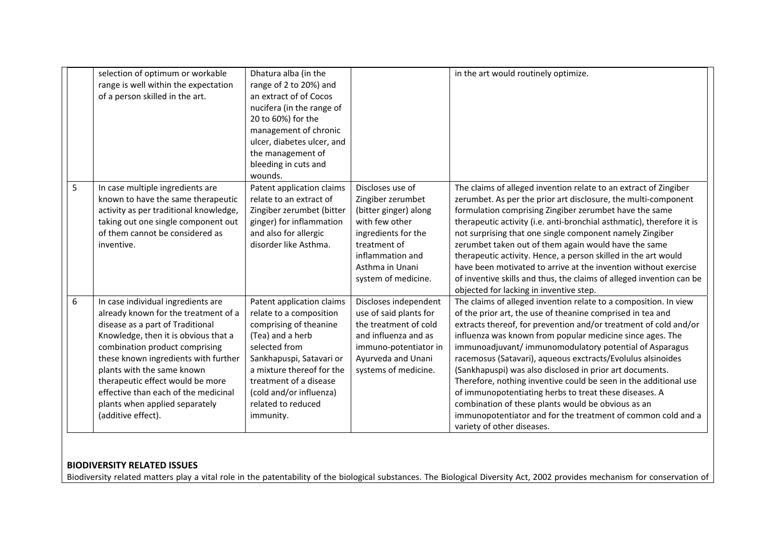|   | selection of optimum or workable<br>range is well within the expectation<br>of a person skilled in the art.                                                                                                                                                                                                                                                                                        | Dhatura alba (in the<br>range of 2 to 20%) and<br>an extract of of Cocos<br>nucifera (in the range of<br>20 to 60%) for the<br>management of chronic<br>ulcer, diabetes ulcer, and<br>the management of<br>bleeding in cuts and<br>wounds.                           |                                                                                                                                                                                       | in the art would routinely optimize.                                                                                                                                                                                                                                                                                                                                                                                                                                                                                                                                                                                                                                                                                                   |
|---|----------------------------------------------------------------------------------------------------------------------------------------------------------------------------------------------------------------------------------------------------------------------------------------------------------------------------------------------------------------------------------------------------|----------------------------------------------------------------------------------------------------------------------------------------------------------------------------------------------------------------------------------------------------------------------|---------------------------------------------------------------------------------------------------------------------------------------------------------------------------------------|----------------------------------------------------------------------------------------------------------------------------------------------------------------------------------------------------------------------------------------------------------------------------------------------------------------------------------------------------------------------------------------------------------------------------------------------------------------------------------------------------------------------------------------------------------------------------------------------------------------------------------------------------------------------------------------------------------------------------------------|
| 5 | In case multiple ingredients are<br>known to have the same therapeutic<br>activity as per traditional knowledge,<br>taking out one single component out<br>of them cannot be considered as<br>inventive.                                                                                                                                                                                           | Patent application claims<br>relate to an extract of<br>Zingiber zerumbet (bitter<br>ginger) for inflammation<br>and also for allergic<br>disorder like Asthma.                                                                                                      | Discloses use of<br>Zingiber zerumbet<br>(bitter ginger) along<br>with few other<br>ingredients for the<br>treatment of<br>inflammation and<br>Asthma in Unani<br>system of medicine. | The claims of alleged invention relate to an extract of Zingiber<br>zerumbet. As per the prior art disclosure, the multi-component<br>formulation comprising Zingiber zerumbet have the same<br>therapeutic activity (i.e. anti-bronchial asthmatic), therefore it is<br>not surprising that one single component namely Zingiber<br>zerumbet taken out of them again would have the same<br>therapeutic activity. Hence, a person skilled in the art would<br>have been motivated to arrive at the invention without exercise<br>of inventive skills and thus, the claims of alleged invention can be<br>objected for lacking in inventive step.                                                                                      |
| 6 | In case individual ingredients are<br>already known for the treatment of a<br>disease as a part of Traditional<br>Knowledge, then it is obvious that a<br>combination product comprising<br>these known ingredients with further<br>plants with the same known<br>therapeutic effect would be more<br>effective than each of the medicinal<br>plants when applied separately<br>(additive effect). | Patent application claims<br>relate to a composition<br>comprising of theanine<br>(Tea) and a herb<br>selected from<br>Sankhapuspi, Satavari or<br>a mixture thereof for the<br>treatment of a disease<br>(cold and/or influenza)<br>related to reduced<br>immunity. | Discloses independent<br>use of said plants for<br>the treatment of cold<br>and influenza and as<br>immuno-potentiator in<br>Ayurveda and Unani<br>systems of medicine.               | The claims of alleged invention relate to a composition. In view<br>of the prior art, the use of theanine comprised in tea and<br>extracts thereof, for prevention and/or treatment of cold and/or<br>influenza was known from popular medicine since ages. The<br>immunoadjuvant/immunomodulatory potential of Asparagus<br>racemosus (Satavari), aqueous exctracts/Evolulus alsinoides<br>(Sankhapuspi) was also disclosed in prior art documents.<br>Therefore, nothing inventive could be seen in the additional use<br>of immunopotentiating herbs to treat these diseases. A<br>combination of these plants would be obvious as an<br>immunopotentiator and for the treatment of common cold and a<br>variety of other diseases. |

# **BIODIVERSITY RELATED ISSUES**

Biodiversity related matters play <sup>a</sup> vital role in the patentability of the biological substances. The Biological Diversity Act, 2002 provides mechanism for conservation of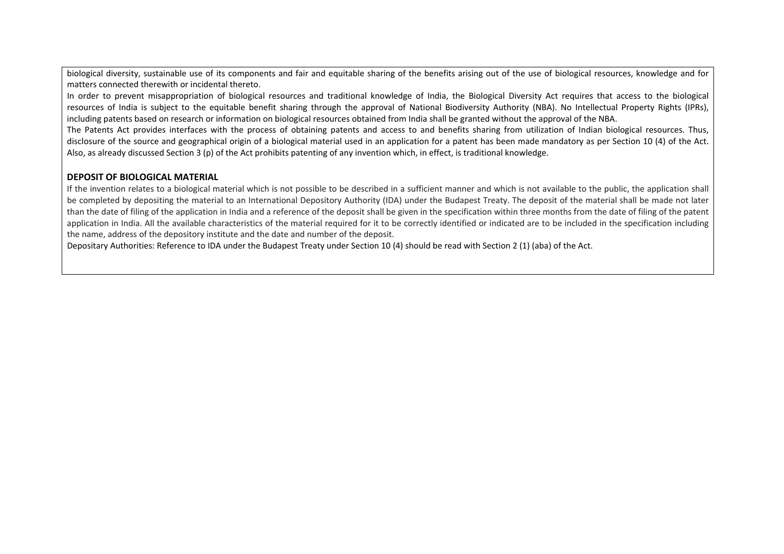biological diversity, sustainable use of its components and fair and equitable sharing of the benefits arising out of the use of biological resources, knowledge and for matters connected therewith or incidental thereto.

In order to prevent misappropriation of biological resources and traditional knowledge of India, the Biological Diversity Act requires that access to the biological resources of India is subject to the equitable benefit sharing through the approval of National Biodiversity Authority (NBA). No Intellectual Property Rights (IPRs), including patents based on research or information on biological resources obtained from India shall be granted without the approval of the NBA.

The Patents Act provides interfaces with the process of obtaining patents and access to and benefits sharing from utilization of Indian biological resources. Thus, disclosure of the source and geographical origin of <sup>a</sup> biological material used in an application for <sup>a</sup> patent has been made mandatory as per Section 10 (4) of the Act. Also, as already discussed Section 3 (p) of the Act prohibits patenting of any invention which, in effect, is traditional knowledge.

## **DEPOSIT OF BIOLOGICAL MATERIAL**

If the invention relates to a biological material which is not possible to be described in a sufficient manner and which is not available to the public, the application shall be completed by depositing the material to an International Depository Authority (IDA) under the Budapest Treaty. The deposit of the material shall be made not later than the date of filing of the application in India and <sup>a</sup> reference of the deposit shall be given in the specification within three months from the date of filing of the patent application in India. All the available characteristics of the material required for it to be correctly identified or indicated are to be included in the specification including the name, address of the depository institute and the date and number of the deposit.

Depositary Authorities: Reference to IDA under the Budapest Treaty under Section 10 (4) should be read with Section 2 (1) (aba) of the Act.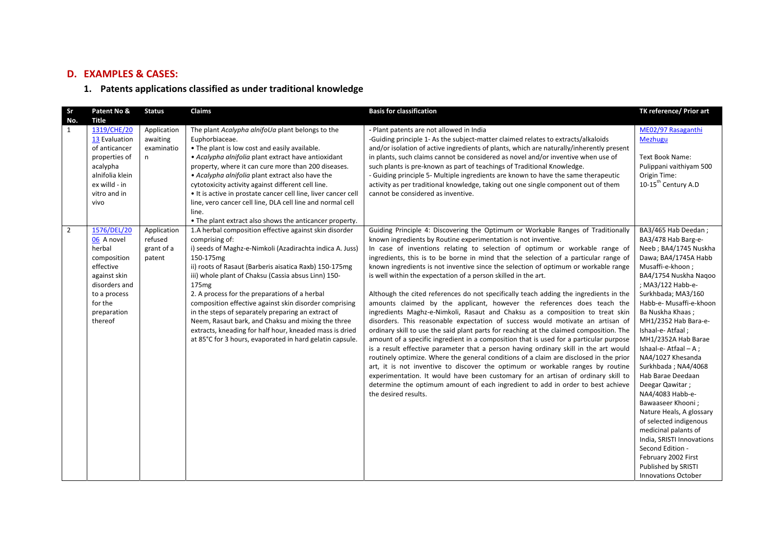## **D. EXAMPLES & CASES:**

#### **1. Patents applications classified as under traditional knowledge**

| Sr             | Patent No &                                                                                                                                           | <b>Status</b>                                  | Claims                                                                                                                                                                                                                                                                                                                                                                                                                                                                                                                                                                                                                                | <b>Basis for classification</b>                                                                                                                                                                                                                                                                                                                                                                                                                                                                                                                                                                                                                                                                                                                                                                                                                                                                                                                                                                                                                                                                                                                                                                                                                                                                                                                                                                                                                                                    | TK reference/ Prior art                                                                                                                                                                                                                                                                                                                                                                                                                                                                                                                                                                                                                                              |
|----------------|-------------------------------------------------------------------------------------------------------------------------------------------------------|------------------------------------------------|---------------------------------------------------------------------------------------------------------------------------------------------------------------------------------------------------------------------------------------------------------------------------------------------------------------------------------------------------------------------------------------------------------------------------------------------------------------------------------------------------------------------------------------------------------------------------------------------------------------------------------------|------------------------------------------------------------------------------------------------------------------------------------------------------------------------------------------------------------------------------------------------------------------------------------------------------------------------------------------------------------------------------------------------------------------------------------------------------------------------------------------------------------------------------------------------------------------------------------------------------------------------------------------------------------------------------------------------------------------------------------------------------------------------------------------------------------------------------------------------------------------------------------------------------------------------------------------------------------------------------------------------------------------------------------------------------------------------------------------------------------------------------------------------------------------------------------------------------------------------------------------------------------------------------------------------------------------------------------------------------------------------------------------------------------------------------------------------------------------------------------|----------------------------------------------------------------------------------------------------------------------------------------------------------------------------------------------------------------------------------------------------------------------------------------------------------------------------------------------------------------------------------------------------------------------------------------------------------------------------------------------------------------------------------------------------------------------------------------------------------------------------------------------------------------------|
| No.<br>1       | <b>Title</b><br>1319/CHE/20<br>13 Evaluation<br>of anticancer<br>properties of<br>acalypha<br>alnifolia klein<br>ex willd - in                        | Application<br>awaiting<br>examinatio<br>n     | The plant Acalypha alnifoUa plant belongs to the<br>Euphorbiaceae.<br>. The plant is low cost and easily available.<br>• Acalypha alnifolia plant extract have antioxidant<br>property, where it can cure more than 200 diseases.<br>• Acalypha alnifolia plant extract also have the<br>cytotoxicity activity against different cell line.                                                                                                                                                                                                                                                                                           | - Plant patents are not allowed in India<br>-Guiding principle 1- As the subject-matter claimed relates to extracts/alkaloids<br>and/or isolation of active ingredients of plants, which are naturally/inherently present<br>in plants, such claims cannot be considered as novel and/or inventive when use of<br>such plants is pre-known as part of teachings of Traditional Knowledge.<br>- Guiding principle 5- Multiple ingredients are known to have the same therapeutic<br>activity as per traditional knowledge, taking out one single component out of them                                                                                                                                                                                                                                                                                                                                                                                                                                                                                                                                                                                                                                                                                                                                                                                                                                                                                                              | ME02/97 Rasaganthi<br><b>Mezhugu</b><br><b>Text Book Name:</b><br>Pulippani vaithiyam 500<br>Origin Time:<br>10-15 <sup>th</sup> Century A.D                                                                                                                                                                                                                                                                                                                                                                                                                                                                                                                         |
|                | vitro and in<br>vivo                                                                                                                                  |                                                | • It is active in prostate cancer cell line, liver cancer cell<br>line, vero cancer cell line, DLA cell line and normal cell<br>line.<br>• The plant extract also shows the anticancer property.                                                                                                                                                                                                                                                                                                                                                                                                                                      | cannot be considered as inventive.                                                                                                                                                                                                                                                                                                                                                                                                                                                                                                                                                                                                                                                                                                                                                                                                                                                                                                                                                                                                                                                                                                                                                                                                                                                                                                                                                                                                                                                 |                                                                                                                                                                                                                                                                                                                                                                                                                                                                                                                                                                                                                                                                      |
| $\overline{2}$ | 1576/DEL/20<br>06 A novel<br>herbal<br>composition<br>effective<br>against skin<br>disorders and<br>to a process<br>for the<br>preparation<br>thereof | Application<br>refused<br>grant of a<br>patent | 1.A herbal composition effective against skin disorder<br>comprising of:<br>i) seeds of Maghz-e-Nimkoli (Azadirachta indica A. Juss)<br>150-175mg<br>ii) roots of Rasaut (Barberis aisatica Raxb) 150-175mg<br>iii) whole plant of Chaksu (Cassia absus Linn) 150-<br>175 <sub>mg</sub><br>2. A process for the preparations of a herbal<br>composition effective against skin disorder comprising<br>in the steps of separately preparing an extract of<br>Neem, Rasaut bark, and Chaksu and mixing the three<br>extracts, kneading for half hour, kneaded mass is dried<br>at 85°C for 3 hours, evaporated in hard gelatin capsule. | Guiding Principle 4: Discovering the Optimum or Workable Ranges of Traditionally<br>known ingredients by Routine experimentation is not inventive.<br>In case of inventions relating to selection of optimum or workable range of<br>ingredients, this is to be borne in mind that the selection of a particular range of<br>known ingredients is not inventive since the selection of optimum or workable range<br>is well within the expectation of a person skilled in the art.<br>Although the cited references do not specifically teach adding the ingredients in the<br>amounts claimed by the applicant, however the references does teach the<br>ingredients Maghz-e-Nimkoli, Rasaut and Chaksu as a composition to treat skin<br>disorders. This reasonable expectation of success would motivate an artisan of<br>ordinary skill to use the said plant parts for reaching at the claimed composition. The<br>amount of a specific ingredient in a composition that is used for a particular purpose<br>is a result effective parameter that a person having ordinary skill in the art would<br>routinely optimize. Where the general conditions of a claim are disclosed in the prior<br>art, it is not inventive to discover the optimum or workable ranges by routine<br>experimentation. It would have been customary for an artisan of ordinary skill to<br>determine the optimum amount of each ingredient to add in order to best achieve<br>the desired results. | BA3/465 Hab Deedan;<br>BA3/478 Hab Barg-e-<br>Neeb; BA4/1745 Nuskha<br>Dawa; BA4/1745A Habb<br>Musaffi-e-khoon;<br>BA4/1754 Nuskha Nagoo<br>; MA3/122 Habb-e-<br>Surkhbada; MA3/160<br>Habb-e- Musaffi-e-khoon<br>Ba Nuskha Khaas;<br>MH1/2352 Hab Bara-e-<br>Ishaal-e-Atfaal;<br>MH1/2352A Hab Barae<br>Ishaal-e-Atfaal-A;<br>NA4/1027 Khesanda<br>Surkhbada; NA4/4068<br>Hab Barae Deedaan<br>Deegar Qawitar;<br>NA4/4083 Habb-e-<br>Bawaaseer Khooni ;<br>Nature Heals, A glossary<br>of selected indigenous<br>medicinal palants of<br>India, SRISTI Innovations<br>Second Edition -<br>February 2002 First<br>Published by SRISTI<br><b>Innovations October</b> |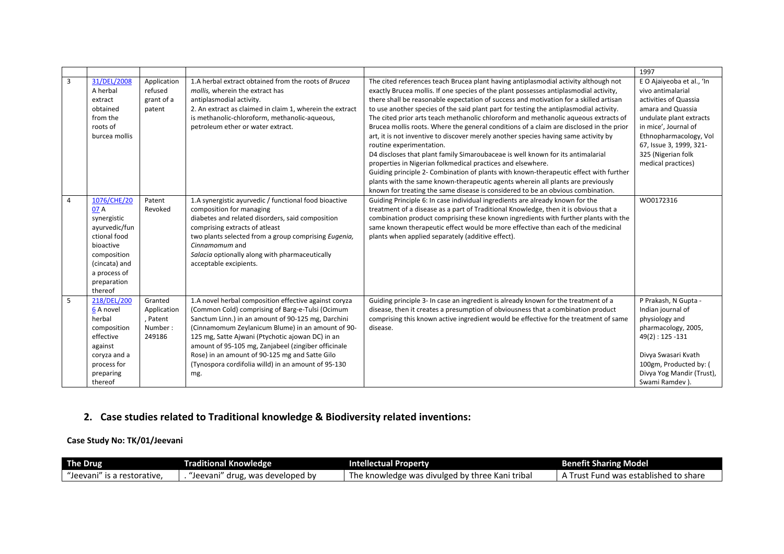|                                  |                                                                                                                                                                                                                                                       |                                                                     |                                                                                                                                                                                                                                                                                                                                                                                                                                                                                                                                                                                                        |                                                                                                                                                                                                                                                                                                                                                                                                                                                                                                                                                                                                                                                                                                                                                                                                                                                                                                                                                                                                                                                                                                                                                                                                                                                                                                                                                                                                                                                                                                | 1997                                                                                                                                                                                                                                                          |
|----------------------------------|-------------------------------------------------------------------------------------------------------------------------------------------------------------------------------------------------------------------------------------------------------|---------------------------------------------------------------------|--------------------------------------------------------------------------------------------------------------------------------------------------------------------------------------------------------------------------------------------------------------------------------------------------------------------------------------------------------------------------------------------------------------------------------------------------------------------------------------------------------------------------------------------------------------------------------------------------------|------------------------------------------------------------------------------------------------------------------------------------------------------------------------------------------------------------------------------------------------------------------------------------------------------------------------------------------------------------------------------------------------------------------------------------------------------------------------------------------------------------------------------------------------------------------------------------------------------------------------------------------------------------------------------------------------------------------------------------------------------------------------------------------------------------------------------------------------------------------------------------------------------------------------------------------------------------------------------------------------------------------------------------------------------------------------------------------------------------------------------------------------------------------------------------------------------------------------------------------------------------------------------------------------------------------------------------------------------------------------------------------------------------------------------------------------------------------------------------------------|---------------------------------------------------------------------------------------------------------------------------------------------------------------------------------------------------------------------------------------------------------------|
| $\overline{3}$<br>$\overline{4}$ | 31/DEL/2008<br>A herbal<br>extract<br>obtained<br>from the<br>roots of<br>burcea mollis<br>1076/CHE/20<br>07 A<br>synergistic<br>ayurvedic/fun<br>ctional food<br>bioactive<br>composition<br>(cincata) and<br>a process of<br>preparation<br>thereof | Application<br>refused<br>grant of a<br>patent<br>Patent<br>Revoked | 1.A herbal extract obtained from the roots of Brucea<br>mollis, wherein the extract has<br>antiplasmodial activity.<br>2. An extract as claimed in claim 1, wherein the extract<br>is methanolic-chloroform, methanolic-aqueous,<br>petroleum ether or water extract.<br>1.A synergistic ayurvedic / functional food bioactive<br>composition for managing<br>diabetes and related disorders, said composition<br>comprising extracts of atleast<br>two plants selected from a group comprising Eugenia,<br>Cinnamomum and<br>Salacia optionally along with pharmaceutically<br>acceptable excipients. | The cited references teach Brucea plant having antiplasmodial activity although not<br>exactly Brucea mollis. If one species of the plant possesses antiplasmodial activity,<br>there shall be reasonable expectation of success and motivation for a skilled artisan<br>to use another species of the said plant part for testing the antiplasmodial activity.<br>The cited prior arts teach methanolic chloroform and methanolic aqueous extracts of<br>Brucea mollis roots. Where the general conditions of a claim are disclosed in the prior<br>art, it is not inventive to discover merely another species having same activity by<br>routine experimentation.<br>D4 discloses that plant family Simaroubaceae is well known for its antimalarial<br>properties in Nigerian folkmedical practices and elsewhere.<br>Guiding principle 2- Combination of plants with known-therapeutic effect with further<br>plants with the same known-therapeutic agents wherein all plants are previously<br>known for treating the same disease is considered to be an obvious combination.<br>Guiding Principle 6: In case individual ingredients are already known for the<br>treatment of a disease as a part of Traditional Knowledge, then it is obvious that a<br>combination product comprising these known ingredients with further plants with the<br>same known therapeutic effect would be more effective than each of the medicinal<br>plants when applied separately (additive effect). | E O Ajaiyeoba et al., 'In<br>vivo antimalarial<br>activities of Quassia<br>amara and Quassia<br>undulate plant extracts<br>in mice', Journal of<br>Ethnopharmacology, Vol<br>67, Issue 3, 1999, 321-<br>325 (Nigerian folk<br>medical practices)<br>WO0172316 |
| 5                                | 218/DEL/200<br>6 A novel<br>herbal<br>composition<br>effective<br>against<br>coryza and a<br>process for<br>preparing<br>thereof                                                                                                                      | Granted<br>Application<br>, Patent<br>Number:<br>249186             | 1.A novel herbal composition effective against coryza<br>(Common Cold) comprising of Barg-e-Tulsi (Ocimum<br>Sanctum Linn.) in an amount of 90-125 mg, Darchini<br>(Cinnamomum Zeylanicum Blume) in an amount of 90-<br>125 mg, Satte Ajwani (Ptychotic ajowan DC) in an<br>amount of 95-105 mg, Zanjabeel (zingiber officinale<br>Rose) in an amount of 90-125 mg and Satte Gilo<br>(Tynospora cordifolia willd) in an amount of 95-130<br>mg.                                                                                                                                                        | Guiding principle 3- In case an ingredient is already known for the treatment of a<br>disease, then it creates a presumption of obviousness that a combination product<br>comprising this known active ingredient would be effective for the treatment of same<br>disease.                                                                                                                                                                                                                                                                                                                                                                                                                                                                                                                                                                                                                                                                                                                                                                                                                                                                                                                                                                                                                                                                                                                                                                                                                     | P Prakash, N Gupta -<br>Indian journal of<br>physiology and<br>pharmacology, 2005,<br>$49(2): 125 - 131$<br>Divya Swasari Kvath<br>100gm, Producted by: (<br>Divya Yog Mandir (Trust),<br>Swami Ramdev).                                                      |

# **2. Case studies related to Traditional knowledge & Biodiversity related inventions:**

## **Case Study No: TK/01/Jeevani**

| <b>The Drug</b>                    | Traditional Knowledge                      | Intellectual Property                                 | <b>Benefit Sharing Model</b>                     |
|------------------------------------|--------------------------------------------|-------------------------------------------------------|--------------------------------------------------|
| restorative.<br>Jeevani:<br>is a . | , was developed by .<br>'Jeevani'<br>drug, | triba.<br>The<br>: knowledge was divulged by f<br>Kan | share א<br>s established to<br>Fund was<br>⊥rus⊾ |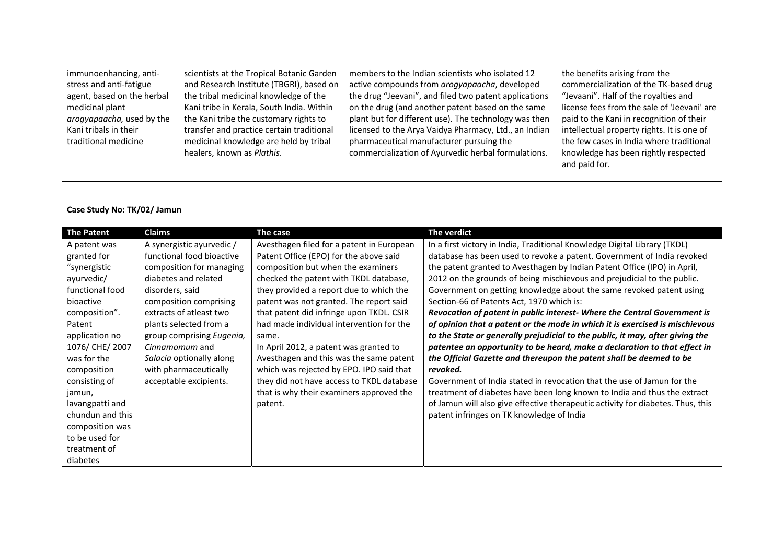| immunoenhancing, anti-     | scientists at the Tropical Botanic Garden | members to the Indian scientists who isolated 12      | the benefits arising from the               |
|----------------------------|-------------------------------------------|-------------------------------------------------------|---------------------------------------------|
| stress and anti-fatigue    | and Research Institute (TBGRI), based on  | active compounds from arogyapaacha, developed         | commercialization of the TK-based drug      |
| agent, based on the herbal | the tribal medicinal knowledge of the     | the drug "Jeevani", and filed two patent applications | "Jevaani". Half of the royalties and        |
| medicinal plant            | Kani tribe in Kerala, South India. Within | on the drug (and another patent based on the same     | license fees from the sale of 'Jeevani' are |
| arogyapaacha, used by the  | the Kani tribe the customary rights to    | plant but for different use). The technology was then | paid to the Kani in recognition of their    |
| Kani tribals in their      | transfer and practice certain traditional | licensed to the Arya Vaidya Pharmacy, Ltd., an Indian | intellectual property rights. It is one of  |
| traditional medicine       | medicinal knowledge are held by tribal    | pharmaceutical manufacturer pursuing the              | the few cases in India where traditional    |
|                            | healers, known as Plathis.                | commercialization of Ayurvedic herbal formulations.   | knowledge has been rightly respected        |
|                            |                                           |                                                       | and paid for.                               |
|                            |                                           |                                                       |                                             |

## **Case Study No: TK/02/ Jamun**

| <b>The Patent</b> | <b>Claims</b>             | The case                                  | The verdict                                                                     |
|-------------------|---------------------------|-------------------------------------------|---------------------------------------------------------------------------------|
| A patent was      | A synergistic ayurvedic / | Avesthagen filed for a patent in European | In a first victory in India, Traditional Knowledge Digital Library (TKDL)       |
| granted for       | functional food bioactive | Patent Office (EPO) for the above said    | database has been used to revoke a patent. Government of India revoked          |
| "synergistic      | composition for managing  | composition but when the examiners        | the patent granted to Avesthagen by Indian Patent Office (IPO) in April,        |
| ayurvedic/        | diabetes and related      | checked the patent with TKDL database,    | 2012 on the grounds of being mischievous and prejudicial to the public.         |
| functional food   | disorders, said           | they provided a report due to which the   | Government on getting knowledge about the same revoked patent using             |
| bioactive         | composition comprising    | patent was not granted. The report said   | Section-66 of Patents Act, 1970 which is:                                       |
| composition".     | extracts of atleast two   | that patent did infringe upon TKDL. CSIR  | Revocation of patent in public interest- Where the Central Government is        |
| Patent            | plants selected from a    | had made individual intervention for the  | of opinion that a patent or the mode in which it is exercised is mischievous    |
| application no    | group comprising Eugenia, | same.                                     | to the State or generally prejudicial to the public, it may, after giving the   |
| 1076/ CHE/ 2007   | Cinnamomum and            | In April 2012, a patent was granted to    | patentee an opportunity to be heard, make a declaration to that effect in       |
| was for the       | Salacia optionally along  | Avesthagen and this was the same patent   | the Official Gazette and thereupon the patent shall be deemed to be             |
| composition       | with pharmaceutically     | which was rejected by EPO. IPO said that  | revoked.                                                                        |
| consisting of     | acceptable excipients.    | they did not have access to TKDL database | Government of India stated in revocation that the use of Jamun for the          |
| jamun,            |                           | that is why their examiners approved the  | treatment of diabetes have been long known to India and thus the extract        |
| lavangpatti and   |                           | patent.                                   | of Jamun will also give effective therapeutic activity for diabetes. Thus, this |
| chundun and this  |                           |                                           | patent infringes on TK knowledge of India                                       |
| composition was   |                           |                                           |                                                                                 |
| to be used for    |                           |                                           |                                                                                 |
| treatment of      |                           |                                           |                                                                                 |
| diabetes          |                           |                                           |                                                                                 |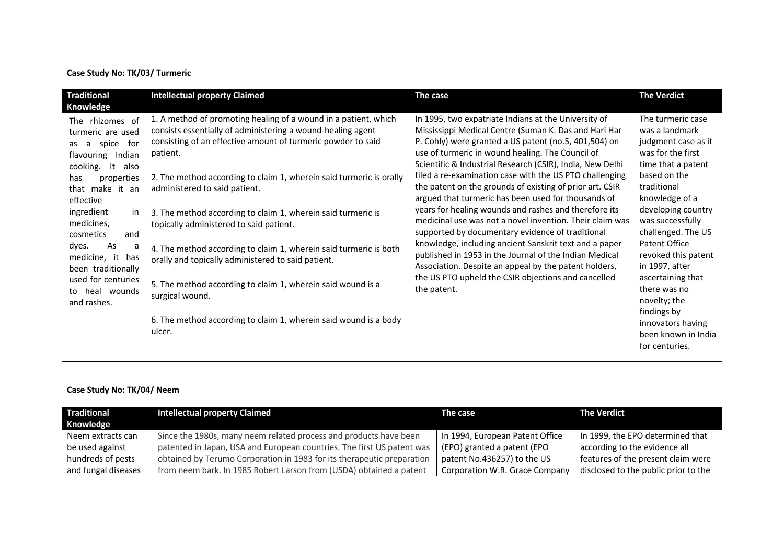#### **Case Study No: TK/03/ Turmeric**

| <b>Traditional</b><br>Knowledge                                                                                                                                                                                                                                                                                                                        | <b>Intellectual property Claimed</b>                                                                                                                                                                                                                                                                                                                                                                                                                                                                                                                                                                                                                                                                                     | The case                                                                                                                                                                                                                                                                                                                                                                                                                                                                                                                                                                                                                                                                                                                                                                                                                                                                                          | <b>The Verdict</b>                                                                                                                                                                                                                                                                                                                                                                                                 |
|--------------------------------------------------------------------------------------------------------------------------------------------------------------------------------------------------------------------------------------------------------------------------------------------------------------------------------------------------------|--------------------------------------------------------------------------------------------------------------------------------------------------------------------------------------------------------------------------------------------------------------------------------------------------------------------------------------------------------------------------------------------------------------------------------------------------------------------------------------------------------------------------------------------------------------------------------------------------------------------------------------------------------------------------------------------------------------------------|---------------------------------------------------------------------------------------------------------------------------------------------------------------------------------------------------------------------------------------------------------------------------------------------------------------------------------------------------------------------------------------------------------------------------------------------------------------------------------------------------------------------------------------------------------------------------------------------------------------------------------------------------------------------------------------------------------------------------------------------------------------------------------------------------------------------------------------------------------------------------------------------------|--------------------------------------------------------------------------------------------------------------------------------------------------------------------------------------------------------------------------------------------------------------------------------------------------------------------------------------------------------------------------------------------------------------------|
| The rhizomes of<br>turmeric are used<br>spice<br>for f<br>a<br>as<br>Indian<br>flavouring<br>cooking. It<br>also<br>properties<br>has<br>that make it an<br>effective<br>ingredient<br>in<br>medicines,<br>cosmetics<br>and<br>As<br>dyes.<br>a<br>medicine, it<br>has<br>been traditionally<br>used for centuries<br>heal wounds<br>to<br>and rashes. | 1. A method of promoting healing of a wound in a patient, which<br>consists essentially of administering a wound-healing agent<br>consisting of an effective amount of turmeric powder to said<br>patient.<br>2. The method according to claim 1, wherein said turmeric is orally<br>administered to said patient.<br>3. The method according to claim 1, wherein said turmeric is<br>topically administered to said patient.<br>4. The method according to claim 1, wherein said turmeric is both<br>orally and topically administered to said patient.<br>5. The method according to claim 1, wherein said wound is a<br>surgical wound.<br>6. The method according to claim 1, wherein said wound is a body<br>ulcer. | In 1995, two expatriate Indians at the University of<br>Mississippi Medical Centre (Suman K. Das and Hari Har<br>P. Cohly) were granted a US patent (no.5, 401,504) on<br>use of turmeric in wound healing. The Council of<br>Scientific & Industrial Research (CSIR), India, New Delhi<br>filed a re-examination case with the US PTO challenging<br>the patent on the grounds of existing of prior art. CSIR<br>argued that turmeric has been used for thousands of<br>years for healing wounds and rashes and therefore its<br>medicinal use was not a novel invention. Their claim was<br>supported by documentary evidence of traditional<br>knowledge, including ancient Sanskrit text and a paper<br>published in 1953 in the Journal of the Indian Medical<br>Association. Despite an appeal by the patent holders,<br>the US PTO upheld the CSIR objections and cancelled<br>the patent. | The turmeric case<br>was a landmark<br>judgment case as it<br>was for the first<br>time that a patent<br>based on the<br>traditional<br>knowledge of a<br>developing country<br>was successfully<br>challenged. The US<br>Patent Office<br>revoked this patent<br>in 1997, after<br>ascertaining that<br>there was no<br>novelty; the<br>findings by<br>innovators having<br>been known in India<br>for centuries. |

## **Case Study No: TK/04/ Neem**

| <b>Traditional</b>  | <b>Intellectual property Claimed</b>                                   | The case                        | <b>The Verdict</b>                   |
|---------------------|------------------------------------------------------------------------|---------------------------------|--------------------------------------|
| Knowledge           |                                                                        |                                 |                                      |
| Neem extracts can   | Since the 1980s, many neem related process and products have been      | In 1994, European Patent Office | In 1999, the EPO determined that     |
| be used against     | patented in Japan, USA and European countries. The first US patent was | (EPO) granted a patent (EPO     | according to the evidence all        |
| hundreds of pests   | obtained by Terumo Corporation in 1983 for its therapeutic preparation | patent No.436257) to the US     | features of the present claim were   |
| and fungal diseases | from neem bark. In 1985 Robert Larson from (USDA) obtained a patent    | Corporation W.R. Grace Company  | disclosed to the public prior to the |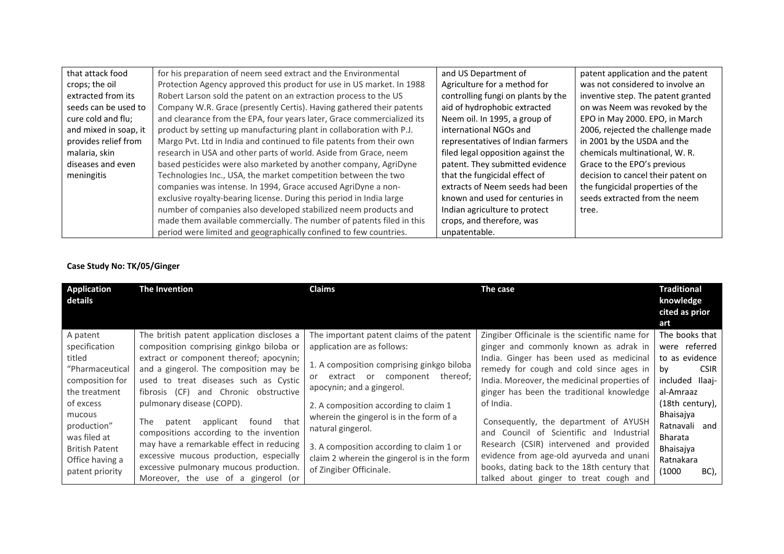| that attack food      | for his preparation of neem seed extract and the Environmental         | and US Department of               | patent application and the patent  |
|-----------------------|------------------------------------------------------------------------|------------------------------------|------------------------------------|
| crops; the oil        | Protection Agency approved this product for use in US market. In 1988  | Agriculture for a method for       | was not considered to involve an   |
| extracted from its    | Robert Larson sold the patent on an extraction process to the US       | controlling fungi on plants by the | inventive step. The patent granted |
| seeds can be used to  | Company W.R. Grace (presently Certis). Having gathered their patents   | aid of hydrophobic extracted       | on was Neem was revoked by the     |
| cure cold and flu;    | and clearance from the EPA, four years later, Grace commercialized its | Neem oil. In 1995, a group of      | EPO in May 2000. EPO, in March     |
| and mixed in soap, it | product by setting up manufacturing plant in collaboration with P.J.   | international NGOs and             | 2006, rejected the challenge made  |
| provides relief from  | Margo Pvt. Ltd in India and continued to file patents from their own   | representatives of Indian farmers  | in 2001 by the USDA and the        |
| malaria, skin         | research in USA and other parts of world. Aside from Grace, neem       | filed legal opposition against the | chemicals multinational, W.R.      |
| diseases and even     | based pesticides were also marketed by another company, AgriDyne       | patent. They submitted evidence    | Grace to the EPO's previous        |
| meningitis            | Technologies Inc., USA, the market competition between the two         | that the fungicidal effect of      | decision to cancel their patent on |
|                       | companies was intense. In 1994, Grace accused AgriDyne a non-          | extracts of Neem seeds had been    | the fungicidal properties of the   |
|                       | exclusive royalty-bearing license. During this period in India large   | known and used for centuries in    | seeds extracted from the neem      |
|                       | number of companies also developed stabilized neem products and        | Indian agriculture to protect      | tree.                              |
|                       | made them available commercially. The number of patents filed in this  | crops, and therefore, was          |                                    |
|                       | period were limited and geographically confined to few countries.      | unpatentable.                      |                                    |

## **Case Study No: TK/05/Ginger**

| <b>Application</b><br>details         | The Invention                                                                          | <b>Claims</b>                                                 | The case                                                                          | <b>Traditional</b><br>knowledge<br>cited as prior |
|---------------------------------------|----------------------------------------------------------------------------------------|---------------------------------------------------------------|-----------------------------------------------------------------------------------|---------------------------------------------------|
|                                       |                                                                                        |                                                               |                                                                                   | art                                               |
| A patent                              | The british patent application discloses a                                             | The important patent claims of the patent                     | Zingiber Officinale is the scientific name for                                    | The books that                                    |
| specification                         | composition comprising ginkgo biloba or                                                | application are as follows:                                   | ginger and commonly known as adrak in                                             | were referred                                     |
| titled                                | extract or component thereof; apocynin;                                                |                                                               | India. Ginger has been used as medicinal                                          | to as evidence                                    |
| "Pharmaceutical                       | and a gingerol. The composition may be                                                 | 1. A composition comprising ginkgo biloba                     | remedy for cough and cold since ages in                                           | <b>CSIR</b><br>bv                                 |
| composition for                       | used to treat diseases such as Cystic                                                  | extract or component thereof;<br>or                           | India. Moreover, the medicinal properties of                                      | included Ilaaj-                                   |
| the treatment                         | fibrosis (CF) and Chronic obstructive                                                  | apocynin; and a gingerol.                                     | ginger has been the traditional knowledge                                         | al-Amraaz                                         |
| of excess                             | pulmonary disease (COPD).                                                              | 2. A composition according to claim 1                         | of India.                                                                         | (18th century),                                   |
| mucous<br>production"<br>was filed at | that<br>applicant<br>The<br>found<br>patent<br>compositions according to the invention | wherein the gingerol is in the form of a<br>natural gingerol. | Consequently, the department of AYUSH<br>and Council of Scientific and Industrial | Bhaisajya<br>Ratnavali and<br><b>Bharata</b>      |
| <b>British Patent</b>                 | may have a remarkable effect in reducing                                               | 3. A composition according to claim 1 or                      | Research (CSIR) intervened and provided                                           | Bhaisajya                                         |
| Office having a                       | excessive mucous production, especially                                                | claim 2 wherein the gingerol is in the form                   | evidence from age-old ayurveda and unani                                          | Ratnakara                                         |
| patent priority                       | excessive pulmonary mucous production.                                                 | of Zingiber Officinale.                                       | books, dating back to the 18th century that                                       | (1000)<br>BC),                                    |
|                                       | Moreover, the use of a gingerol (or                                                    |                                                               | talked about ginger to treat cough and                                            |                                                   |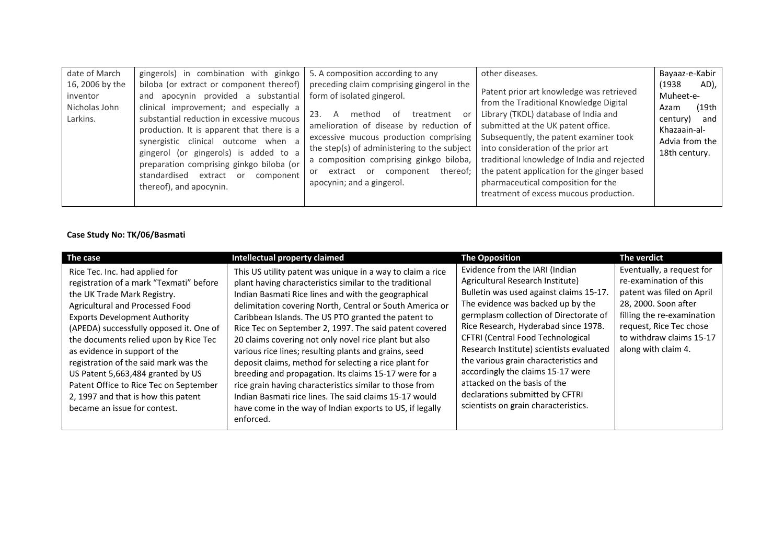| date of March<br>16, 2006 by the<br>inventor<br>Nicholas John<br>Larkins. | gingerols) in combination with ginkgo $\vert$ 5. A composition according to any<br>and apocynin provided a substantial<br>clinical improvement; and especially a<br>substantial reduction in excessive mucous<br>production. It is apparent that there is a<br>synergistic clinical outcome when a<br>gingerol (or gingerols) is added to a<br>preparation comprising ginkgo biloba (or<br>standardised<br>component<br>extract<br>or<br>thereof), and apocynin. | biloba (or extract or component thereof)   preceding claim comprising gingerol in the<br>form of isolated gingerol.<br>23.<br>method<br>treatment<br>nt.<br>or<br>A<br>amelioration of disease by reduction of<br>excessive mucous production comprising<br>the step(s) of administering to the subject $\vert$ into consideration of the prior art<br>a composition comprising ginkgo biloba,<br>extract or<br>component<br>or<br>apocynin; and a gingerol. | other diseases.<br>Patent prior art knowledge was retrieved<br>from the Traditional Knowledge Digital<br>Library (TKDL) database of India and<br>submitted at the UK patent office.<br>Subsequently, the patent examiner took<br>traditional knowledge of India and rejected<br>thereof; the patent application for the ginger based<br>pharmaceutical composition for the<br>treatment of excess mucous production. | Bayaaz-e-Kabir<br>(1938)<br>$AD$ ),<br>Muheet-e-<br>(19th<br>Azam<br>century)<br>and<br>Khazaain-al-<br>Advia from the<br>18th century. |
|---------------------------------------------------------------------------|------------------------------------------------------------------------------------------------------------------------------------------------------------------------------------------------------------------------------------------------------------------------------------------------------------------------------------------------------------------------------------------------------------------------------------------------------------------|--------------------------------------------------------------------------------------------------------------------------------------------------------------------------------------------------------------------------------------------------------------------------------------------------------------------------------------------------------------------------------------------------------------------------------------------------------------|----------------------------------------------------------------------------------------------------------------------------------------------------------------------------------------------------------------------------------------------------------------------------------------------------------------------------------------------------------------------------------------------------------------------|-----------------------------------------------------------------------------------------------------------------------------------------|
|---------------------------------------------------------------------------|------------------------------------------------------------------------------------------------------------------------------------------------------------------------------------------------------------------------------------------------------------------------------------------------------------------------------------------------------------------------------------------------------------------------------------------------------------------|--------------------------------------------------------------------------------------------------------------------------------------------------------------------------------------------------------------------------------------------------------------------------------------------------------------------------------------------------------------------------------------------------------------------------------------------------------------|----------------------------------------------------------------------------------------------------------------------------------------------------------------------------------------------------------------------------------------------------------------------------------------------------------------------------------------------------------------------------------------------------------------------|-----------------------------------------------------------------------------------------------------------------------------------------|

**Case Study No: TK/06/Basmati**

| The case                                                                                                                                                                                                                                                                                                                                                                                                                                                                                                | Intellectual property claimed                                                                                                                                                                                                                                                                                                                                                                                                                                                                                                                                                                                                                                                                                                                                                               | <b>The Opposition</b>                                                                                                                                                                                                                                                                                                                                                                                                                                                                                          | The verdict                                                                                                                                                                                                          |
|---------------------------------------------------------------------------------------------------------------------------------------------------------------------------------------------------------------------------------------------------------------------------------------------------------------------------------------------------------------------------------------------------------------------------------------------------------------------------------------------------------|---------------------------------------------------------------------------------------------------------------------------------------------------------------------------------------------------------------------------------------------------------------------------------------------------------------------------------------------------------------------------------------------------------------------------------------------------------------------------------------------------------------------------------------------------------------------------------------------------------------------------------------------------------------------------------------------------------------------------------------------------------------------------------------------|----------------------------------------------------------------------------------------------------------------------------------------------------------------------------------------------------------------------------------------------------------------------------------------------------------------------------------------------------------------------------------------------------------------------------------------------------------------------------------------------------------------|----------------------------------------------------------------------------------------------------------------------------------------------------------------------------------------------------------------------|
| Rice Tec. Inc. had applied for<br>registration of a mark "Texmati" before<br>the UK Trade Mark Registry.<br>Agricultural and Processed Food<br><b>Exports Development Authority</b><br>(APEDA) successfully opposed it. One of<br>the documents relied upon by Rice Tec<br>as evidence in support of the<br>registration of the said mark was the<br>US Patent 5,663,484 granted by US<br>Patent Office to Rice Tec on September<br>2, 1997 and that is how this patent<br>became an issue for contest. | This US utility patent was unique in a way to claim a rice<br>plant having characteristics similar to the traditional<br>Indian Basmati Rice lines and with the geographical<br>delimitation covering North, Central or South America or<br>Caribbean Islands. The US PTO granted the patent to<br>Rice Tec on September 2, 1997. The said patent covered<br>20 claims covering not only novel rice plant but also<br>various rice lines; resulting plants and grains, seed<br>deposit claims, method for selecting a rice plant for<br>breeding and propagation. Its claims 15-17 were for a<br>rice grain having characteristics similar to those from<br>Indian Basmati rice lines. The said claims 15-17 would<br>have come in the way of Indian exports to US, if legally<br>enforced. | Evidence from the IARI (Indian<br>Agricultural Research Institute)<br>Bulletin was used against claims 15-17.<br>The evidence was backed up by the<br>germplasm collection of Directorate of<br>Rice Research, Hyderabad since 1978.<br>CFTRI (Central Food Technological<br>Research Institute) scientists evaluated<br>the various grain characteristics and<br>accordingly the claims 15-17 were<br>attacked on the basis of the<br>declarations submitted by CFTRI<br>scientists on grain characteristics. | Eventually, a request for<br>re-examination of this<br>patent was filed on April<br>28, 2000. Soon after<br>filling the re-examination<br>request, Rice Tec chose<br>to withdraw claims 15-17<br>along with claim 4. |